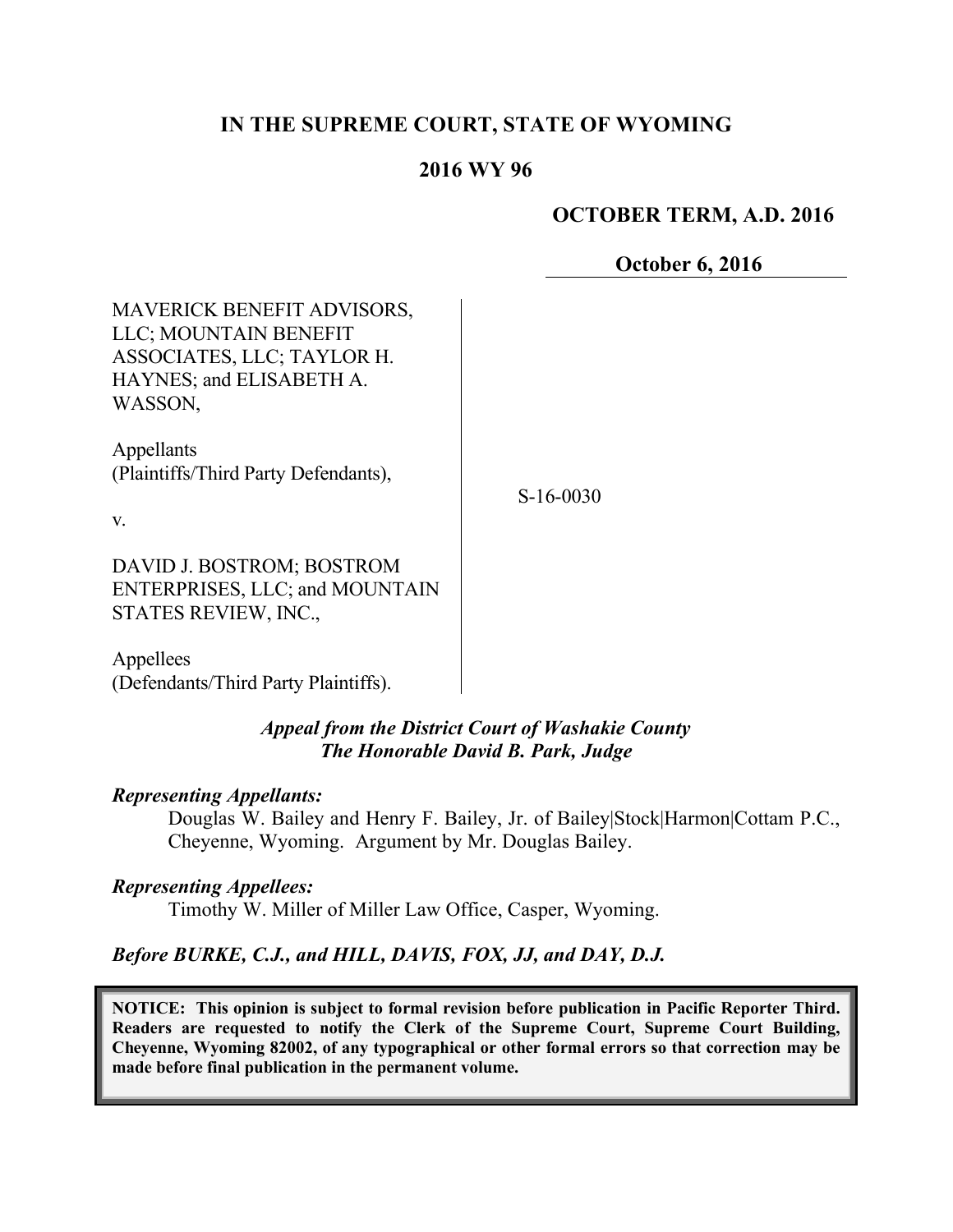## **IN THE SUPREME COURT, STATE OF WYOMING**

### **2016 WY 96**

### **OCTOBER TERM, A.D. 2016**

**October 6, 2016**

| <b>MAVERICK BENEFIT ADVISORS,</b><br>LLC; MOUNTAIN BENEFIT<br>ASSOCIATES, LLC; TAYLOR H.<br>HAYNES; and ELISABETH A.<br>WASSON, |             |
|---------------------------------------------------------------------------------------------------------------------------------|-------------|
| Appellants<br>(Plaintiffs/Third Party Defendants),<br>V.                                                                        | $S-16-0030$ |
| DAVID J. BOSTROM; BOSTROM<br><b>ENTERPRISES, LLC; and MOUNTAIN</b><br>STATES REVIEW, INC.,                                      |             |
|                                                                                                                                 |             |

Appellees (Defendants/Third Party Plaintiffs).

### *Appeal from the District Court of Washakie County The Honorable David B. Park, Judge*

#### *Representing Appellants:*

Douglas W. Bailey and Henry F. Bailey, Jr. of Bailey|Stock|Harmon|Cottam P.C., Cheyenne, Wyoming. Argument by Mr. Douglas Bailey.

#### *Representing Appellees:*

Timothy W. Miller of Miller Law Office, Casper, Wyoming.

### *Before BURKE, C.J., and HILL, DAVIS, FOX, JJ, and DAY, D.J.*

**NOTICE: This opinion is subject to formal revision before publication in Pacific Reporter Third. Readers are requested to notify the Clerk of the Supreme Court, Supreme Court Building, Cheyenne, Wyoming 82002, of any typographical or other formal errors so that correction may be made before final publication in the permanent volume.**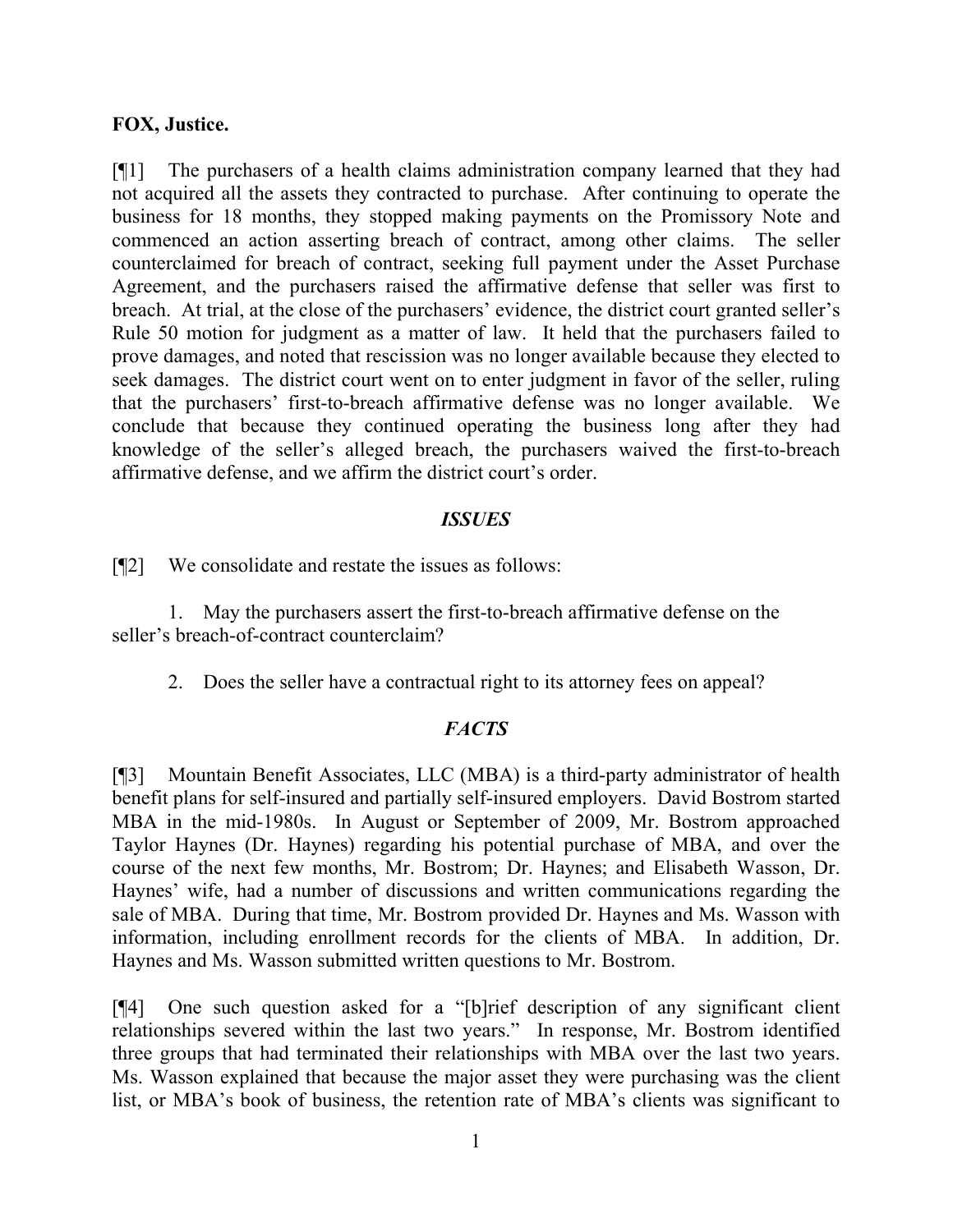### **FOX, Justice.**

[¶1] The purchasers of a health claims administration company learned that they had not acquired all the assets they contracted to purchase. After continuing to operate the business for 18 months, they stopped making payments on the Promissory Note and commenced an action asserting breach of contract, among other claims. The seller counterclaimed for breach of contract, seeking full payment under the Asset Purchase Agreement, and the purchasers raised the affirmative defense that seller was first to breach. At trial, at the close of the purchasers' evidence, the district court granted seller's Rule 50 motion for judgment as a matter of law. It held that the purchasers failed to prove damages, and noted that rescission was no longer available because they elected to seek damages. The district court went on to enter judgment in favor of the seller, ruling that the purchasers' first-to-breach affirmative defense was no longer available. We conclude that because they continued operating the business long after they had knowledge of the seller's alleged breach, the purchasers waived the first-to-breach affirmative defense, and we affirm the district court's order.

#### *ISSUES*

[¶2] We consolidate and restate the issues as follows:

1. May the purchasers assert the first-to-breach affirmative defense on the seller's breach-of-contract counterclaim?

2. Does the seller have a contractual right to its attorney fees on appeal?

### *FACTS*

[¶3] Mountain Benefit Associates, LLC (MBA) is a third-party administrator of health benefit plans for self-insured and partially self-insured employers. David Bostrom started MBA in the mid-1980s. In August or September of 2009, Mr. Bostrom approached Taylor Haynes (Dr. Haynes) regarding his potential purchase of MBA, and over the course of the next few months, Mr. Bostrom; Dr. Haynes; and Elisabeth Wasson, Dr. Haynes' wife, had a number of discussions and written communications regarding the sale of MBA. During that time, Mr. Bostrom provided Dr. Haynes and Ms. Wasson with information, including enrollment records for the clients of MBA. In addition, Dr. Haynes and Ms. Wasson submitted written questions to Mr. Bostrom.

[¶4] One such question asked for a "[b]rief description of any significant client relationships severed within the last two years." In response, Mr. Bostrom identified three groups that had terminated their relationships with MBA over the last two years. Ms. Wasson explained that because the major asset they were purchasing was the client list, or MBA's book of business, the retention rate of MBA's clients was significant to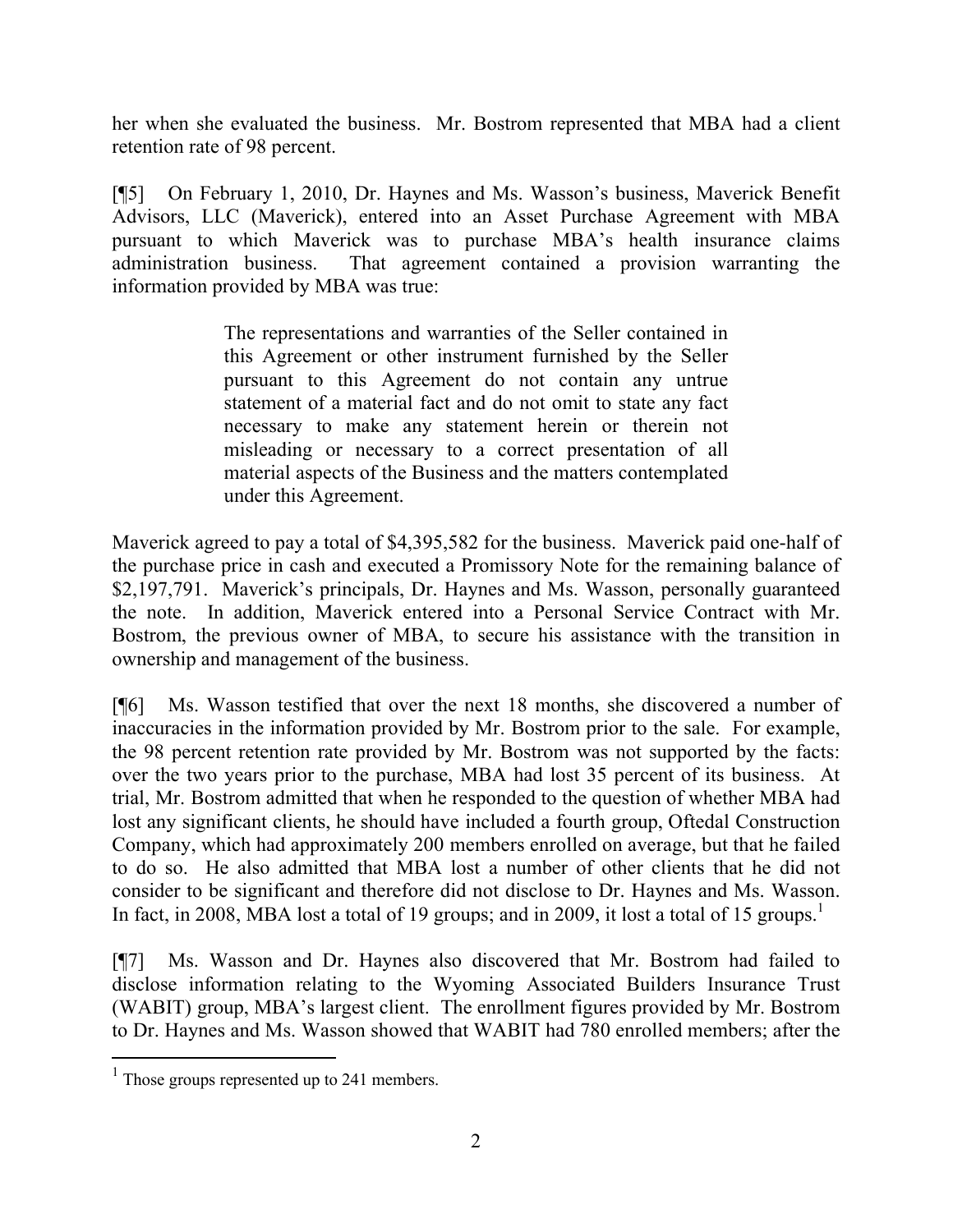her when she evaluated the business. Mr. Bostrom represented that MBA had a client retention rate of 98 percent.

[¶5] On February 1, 2010, Dr. Haynes and Ms. Wasson's business, Maverick Benefit Advisors, LLC (Maverick), entered into an Asset Purchase Agreement with MBA pursuant to which Maverick was to purchase MBA's health insurance claims administration business. That agreement contained a provision warranting the information provided by MBA was true:

> The representations and warranties of the Seller contained in this Agreement or other instrument furnished by the Seller pursuant to this Agreement do not contain any untrue statement of a material fact and do not omit to state any fact necessary to make any statement herein or therein not misleading or necessary to a correct presentation of all material aspects of the Business and the matters contemplated under this Agreement.

Maverick agreed to pay a total of \$4,395,582 for the business. Maverick paid one-half of the purchase price in cash and executed a Promissory Note for the remaining balance of \$2,197,791. Maverick's principals, Dr. Haynes and Ms. Wasson, personally guaranteed the note. In addition, Maverick entered into a Personal Service Contract with Mr. Bostrom, the previous owner of MBA, to secure his assistance with the transition in ownership and management of the business.

[¶6] Ms. Wasson testified that over the next 18 months, she discovered a number of inaccuracies in the information provided by Mr. Bostrom prior to the sale. For example, the 98 percent retention rate provided by Mr. Bostrom was not supported by the facts: over the two years prior to the purchase, MBA had lost 35 percent of its business. At trial, Mr. Bostrom admitted that when he responded to the question of whether MBA had lost any significant clients, he should have included a fourth group, Oftedal Construction Company, which had approximately 200 members enrolled on average, but that he failed to do so. He also admitted that MBA lost a number of other clients that he did not consider to be significant and therefore did not disclose to Dr. Haynes and Ms. Wasson. In fact, in 2008, MBA lost a total of 19 groups; and in 2009, it lost a total of 15 groups.<sup>1</sup>

[¶7] Ms. Wasson and Dr. Haynes also discovered that Mr. Bostrom had failed to disclose information relating to the Wyoming Associated Builders Insurance Trust (WABIT) group, MBA's largest client. The enrollment figures provided by Mr. Bostrom to Dr. Haynes and Ms. Wasson showed that WABIT had 780 enrolled members; after the

<sup>&</sup>lt;sup>1</sup> Those groups represented up to 241 members.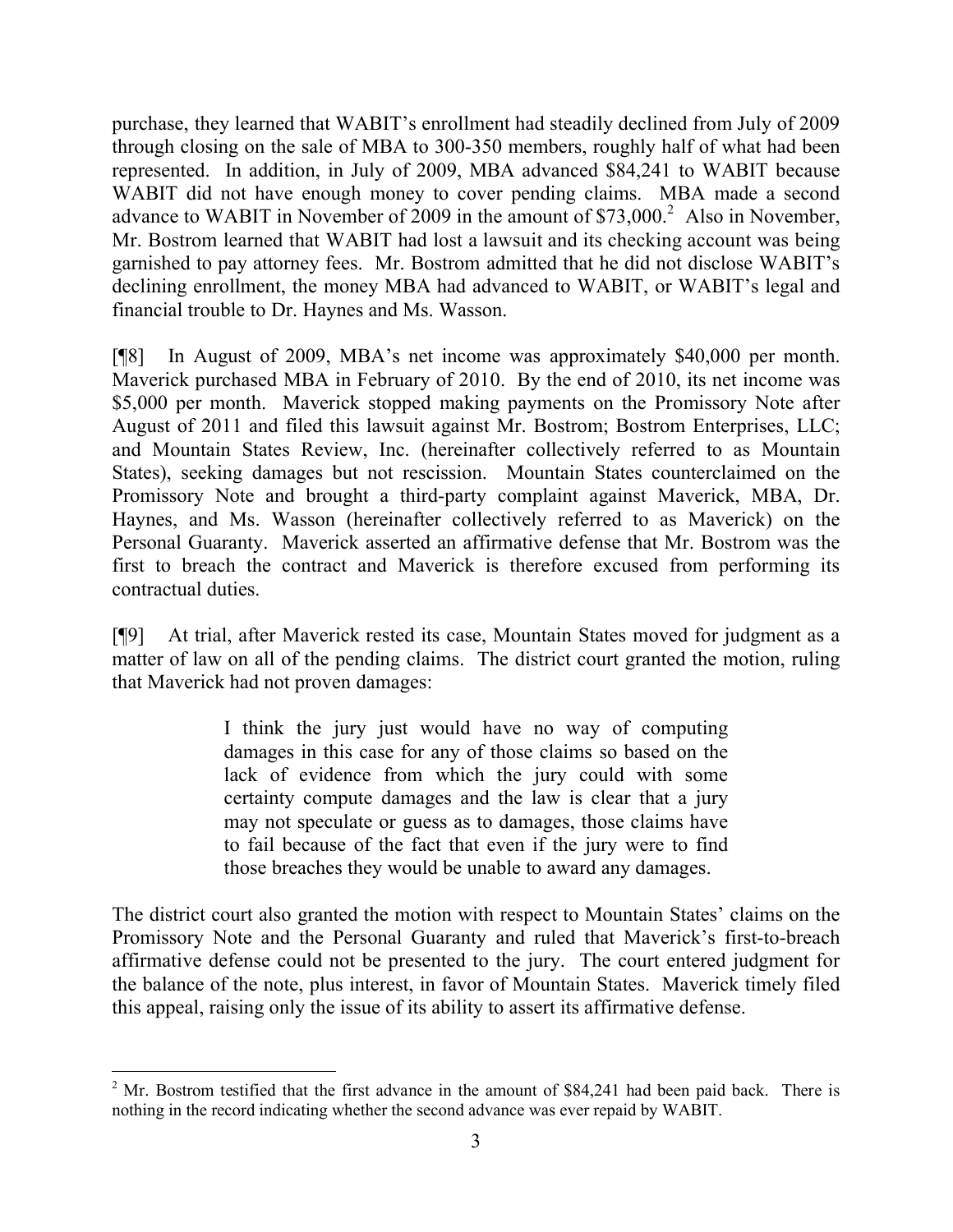purchase, they learned that WABIT's enrollment had steadily declined from July of 2009 through closing on the sale of MBA to 300-350 members, roughly half of what had been represented. In addition, in July of 2009, MBA advanced \$84,241 to WABIT because WABIT did not have enough money to cover pending claims. MBA made a second advance to WABIT in November of 2009 in the amount of  $$73,000$ <sup>2</sup> Also in November, Mr. Bostrom learned that WABIT had lost a lawsuit and its checking account was being garnished to pay attorney fees. Mr. Bostrom admitted that he did not disclose WABIT's declining enrollment, the money MBA had advanced to WABIT, or WABIT's legal and financial trouble to Dr. Haynes and Ms. Wasson.

[¶8] In August of 2009, MBA's net income was approximately \$40,000 per month. Maverick purchased MBA in February of 2010. By the end of 2010, its net income was \$5,000 per month. Maverick stopped making payments on the Promissory Note after August of 2011 and filed this lawsuit against Mr. Bostrom; Bostrom Enterprises, LLC; and Mountain States Review, Inc. (hereinafter collectively referred to as Mountain States), seeking damages but not rescission. Mountain States counterclaimed on the Promissory Note and brought a third-party complaint against Maverick, MBA, Dr. Haynes, and Ms. Wasson (hereinafter collectively referred to as Maverick) on the Personal Guaranty. Maverick asserted an affirmative defense that Mr. Bostrom was the first to breach the contract and Maverick is therefore excused from performing its contractual duties.

[¶9] At trial, after Maverick rested its case, Mountain States moved for judgment as a matter of law on all of the pending claims. The district court granted the motion, ruling that Maverick had not proven damages:

> I think the jury just would have no way of computing damages in this case for any of those claims so based on the lack of evidence from which the jury could with some certainty compute damages and the law is clear that a jury may not speculate or guess as to damages, those claims have to fail because of the fact that even if the jury were to find those breaches they would be unable to award any damages.

The district court also granted the motion with respect to Mountain States' claims on the Promissory Note and the Personal Guaranty and ruled that Maverick's first-to-breach affirmative defense could not be presented to the jury. The court entered judgment for the balance of the note, plus interest, in favor of Mountain States. Maverick timely filed this appeal, raising only the issue of its ability to assert its affirmative defense.

 $2$  Mr. Bostrom testified that the first advance in the amount of \$84,241 had been paid back. There is nothing in the record indicating whether the second advance was ever repaid by WABIT.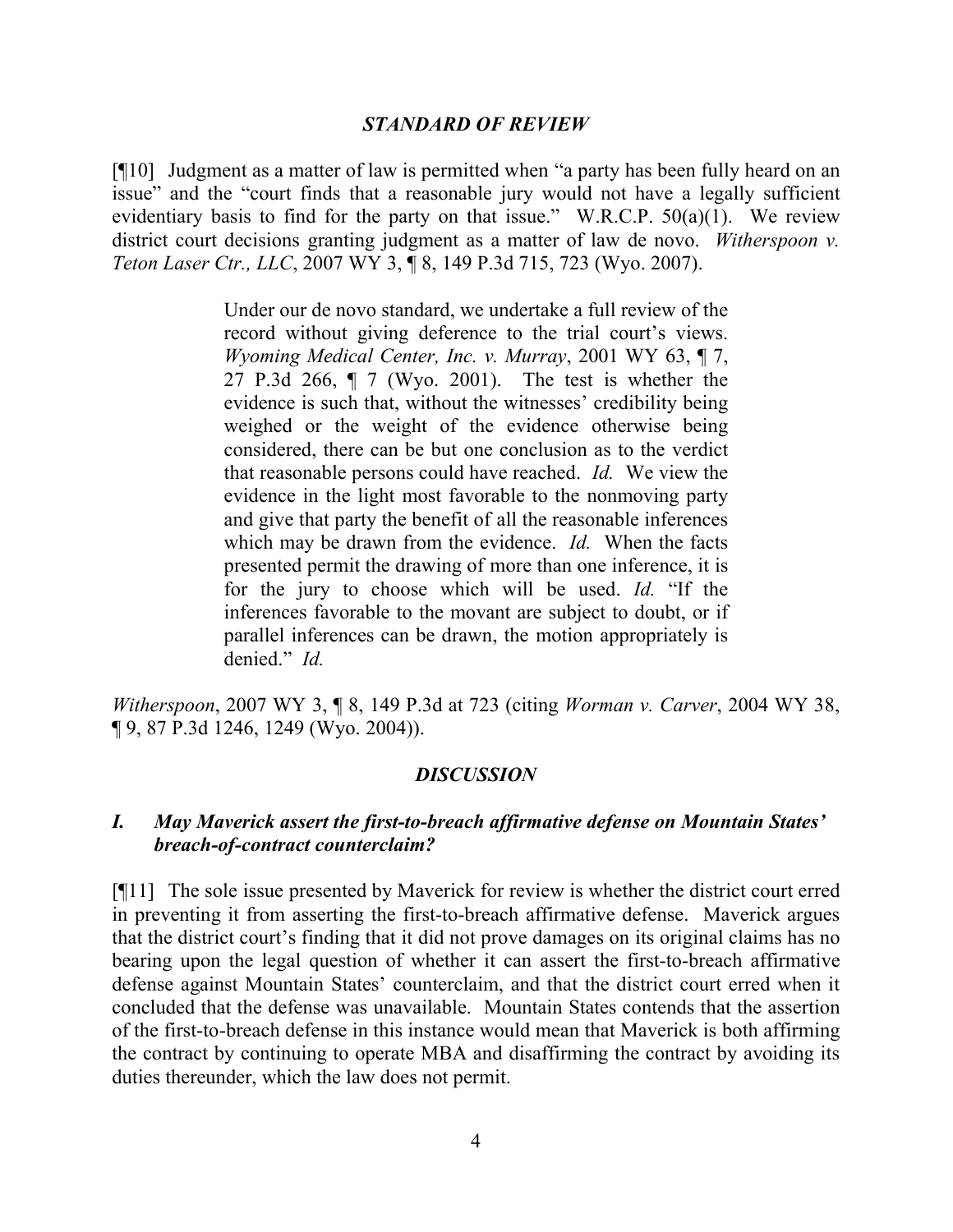#### *STANDARD OF REVIEW*

[¶10] Judgment as a matter of law is permitted when "a party has been fully heard on an issue" and the "court finds that a reasonable jury would not have a legally sufficient evidentiary basis to find for the party on that issue." W.R.C.P.  $50(a)(1)$ . We review district court decisions granting judgment as a matter of law de novo. *Witherspoon v. Teton Laser Ctr., LLC*, 2007 WY 3, ¶ 8, 149 P.3d 715, 723 (Wyo. 2007).

> Under our de novo standard, we undertake a full review of the record without giving deference to the trial court's views. *Wyoming Medical Center, Inc. v. Murray*, 2001 WY 63, ¶ 7, 27 P.3d 266, ¶ 7 (Wyo. 2001). The test is whether the evidence is such that, without the witnesses' credibility being weighed or the weight of the evidence otherwise being considered, there can be but one conclusion as to the verdict that reasonable persons could have reached. *Id.* We view the evidence in the light most favorable to the nonmoving party and give that party the benefit of all the reasonable inferences which may be drawn from the evidence. *Id.* When the facts presented permit the drawing of more than one inference, it is for the jury to choose which will be used. *Id.* "If the inferences favorable to the movant are subject to doubt, or if parallel inferences can be drawn, the motion appropriately is denied." *Id.*

*Witherspoon*, 2007 WY 3, ¶ 8, 149 P.3d at 723 (citing *Worman v. Carver*, 2004 WY 38, ¶ 9, 87 P.3d 1246, 1249 (Wyo. 2004)).

#### *DISCUSSION*

### *I. May Maverick assert the first-to-breach affirmative defense on Mountain States' breach-of-contract counterclaim?*

[¶11] The sole issue presented by Maverick for review is whether the district court erred in preventing it from asserting the first-to-breach affirmative defense. Maverick argues that the district court's finding that it did not prove damages on its original claims has no bearing upon the legal question of whether it can assert the first-to-breach affirmative defense against Mountain States' counterclaim, and that the district court erred when it concluded that the defense was unavailable. Mountain States contends that the assertion of the first-to-breach defense in this instance would mean that Maverick is both affirming the contract by continuing to operate MBA and disaffirming the contract by avoiding its duties thereunder, which the law does not permit.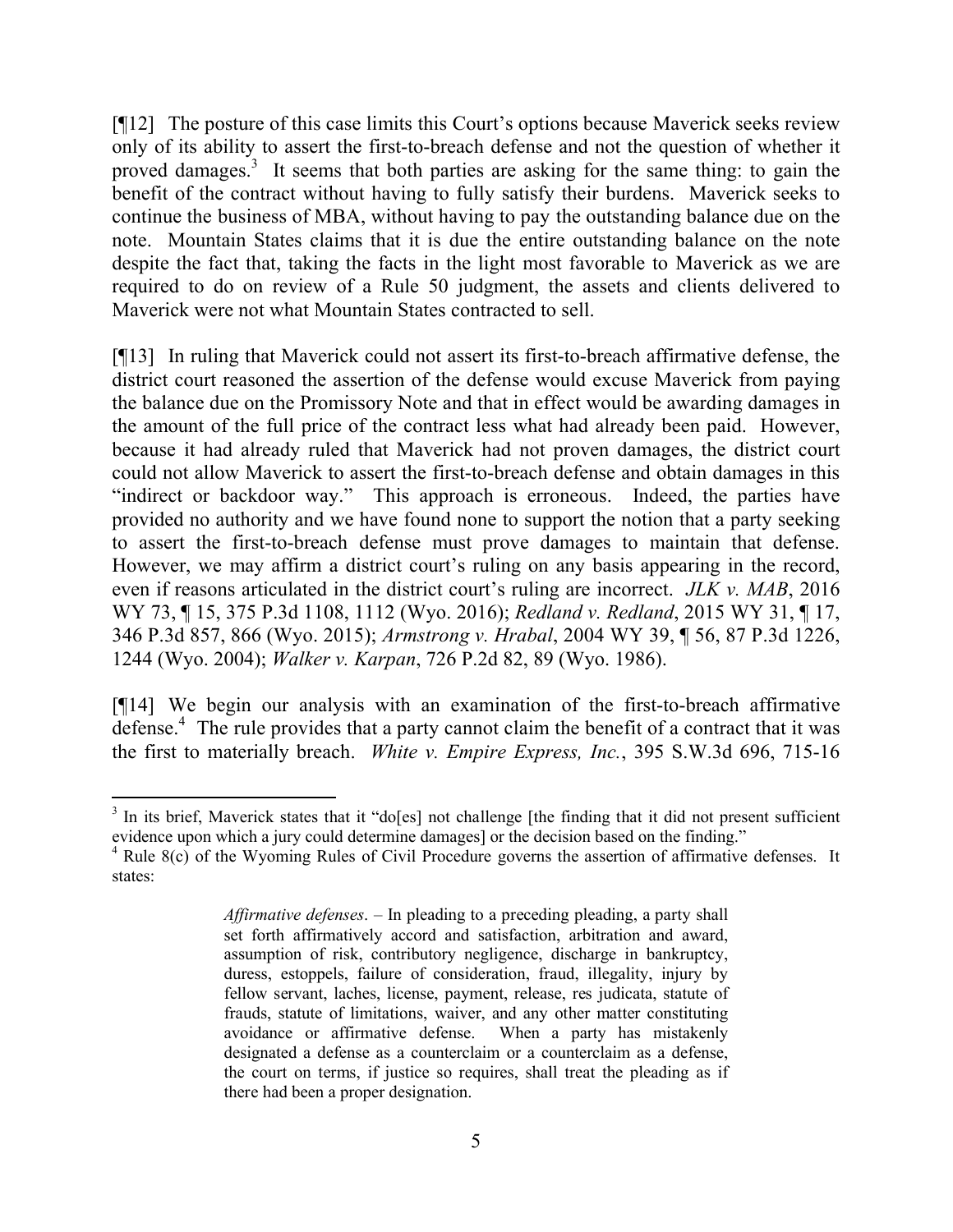[¶12] The posture of this case limits this Court's options because Maverick seeks review only of its ability to assert the first-to-breach defense and not the question of whether it proved damages.<sup>3</sup> It seems that both parties are asking for the same thing: to gain the benefit of the contract without having to fully satisfy their burdens. Maverick seeks to continue the business of MBA, without having to pay the outstanding balance due on the note. Mountain States claims that it is due the entire outstanding balance on the note despite the fact that, taking the facts in the light most favorable to Maverick as we are required to do on review of a Rule 50 judgment, the assets and clients delivered to Maverick were not what Mountain States contracted to sell.

[¶13] In ruling that Maverick could not assert its first-to-breach affirmative defense, the district court reasoned the assertion of the defense would excuse Maverick from paying the balance due on the Promissory Note and that in effect would be awarding damages in the amount of the full price of the contract less what had already been paid. However, because it had already ruled that Maverick had not proven damages, the district court could not allow Maverick to assert the first-to-breach defense and obtain damages in this "indirect or backdoor way." This approach is erroneous. Indeed, the parties have provided no authority and we have found none to support the notion that a party seeking to assert the first-to-breach defense must prove damages to maintain that defense. However, we may affirm a district court's ruling on any basis appearing in the record, even if reasons articulated in the district court's ruling are incorrect. *JLK v. MAB*, 2016 WY 73, ¶ 15, 375 P.3d 1108, 1112 (Wyo. 2016); *Redland v. Redland*, 2015 WY 31, ¶ 17, 346 P.3d 857, 866 (Wyo. 2015); *Armstrong v. Hrabal*, 2004 WY 39, ¶ 56, 87 P.3d 1226, 1244 (Wyo. 2004); *Walker v. Karpan*, 726 P.2d 82, 89 (Wyo. 1986).

[¶14] We begin our analysis with an examination of the first-to-breach affirmative  $\det^4$  The rule provides that a party cannot claim the benefit of a contract that it was the first to materially breach. *White v. Empire Express, Inc.*, 395 S.W.3d 696, 715-16

<sup>&</sup>lt;sup>3</sup> In its brief, Maverick states that it "do[es] not challenge [the finding that it did not present sufficient evidence upon which a jury could determine damages] or the decision based on the finding."

 $4$  Rule 8(c) of the Wyoming Rules of Civil Procedure governs the assertion of affirmative defenses. It states:

*Affirmative defenses*. – In pleading to a preceding pleading, a party shall set forth affirmatively accord and satisfaction, arbitration and award, assumption of risk, contributory negligence, discharge in bankruptcy, duress, estoppels, failure of consideration, fraud, illegality, injury by fellow servant, laches, license, payment, release, res judicata, statute of frauds, statute of limitations, waiver, and any other matter constituting avoidance or affirmative defense. When a party has mistakenly designated a defense as a counterclaim or a counterclaim as a defense, the court on terms, if justice so requires, shall treat the pleading as if there had been a proper designation.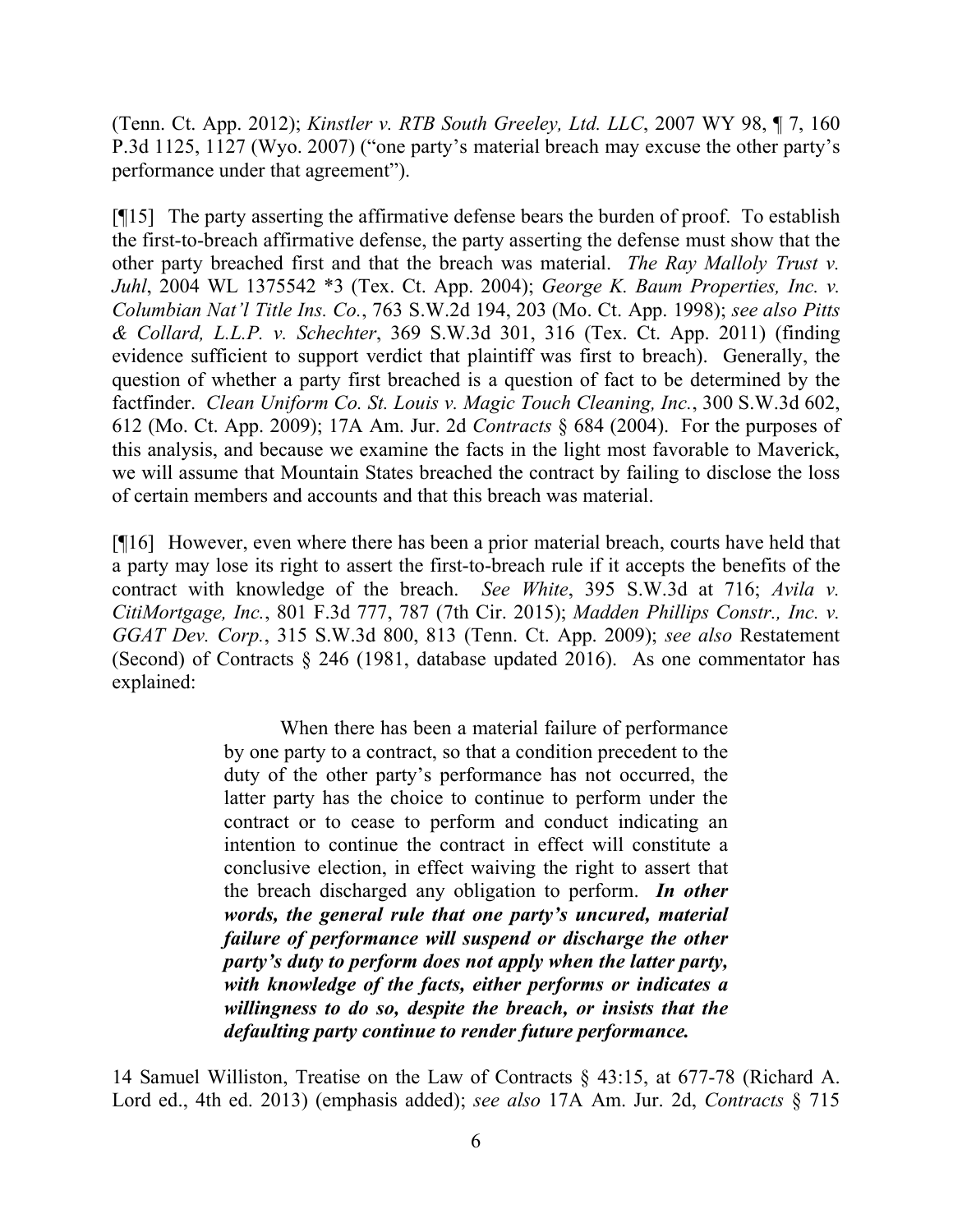(Tenn. Ct. App. 2012); *Kinstler v. RTB South Greeley, Ltd. LLC*, 2007 WY 98, ¶ 7, 160 P.3d 1125, 1127 (Wyo. 2007) ("one party's material breach may excuse the other party's performance under that agreement").

[¶15] The party asserting the affirmative defense bears the burden of proof. To establish the first-to-breach affirmative defense, the party asserting the defense must show that the other party breached first and that the breach was material. *The Ray Malloly Trust v. Juhl*, 2004 WL 1375542 \*3 (Tex. Ct. App. 2004); *George K. Baum Properties, Inc. v. Columbian Nat'l Title Ins. Co.*, 763 S.W.2d 194, 203 (Mo. Ct. App. 1998); *see also Pitts & Collard, L.L.P. v. Schechter*, 369 S.W.3d 301, 316 (Tex. Ct. App. 2011) (finding evidence sufficient to support verdict that plaintiff was first to breach). Generally, the question of whether a party first breached is a question of fact to be determined by the factfinder. *Clean Uniform Co. St. Louis v. Magic Touch Cleaning, Inc.*, 300 S.W.3d 602, 612 (Mo. Ct. App. 2009); 17A Am. Jur. 2d *Contracts* § 684 (2004). For the purposes of this analysis, and because we examine the facts in the light most favorable to Maverick, we will assume that Mountain States breached the contract by failing to disclose the loss of certain members and accounts and that this breach was material.

[¶16] However, even where there has been a prior material breach, courts have held that a party may lose its right to assert the first-to-breach rule if it accepts the benefits of the contract with knowledge of the breach. *See White*, 395 S.W.3d at 716; *Avila v. CitiMortgage, Inc.*, 801 F.3d 777, 787 (7th Cir. 2015); *Madden Phillips Constr., Inc. v. GGAT Dev. Corp.*, 315 S.W.3d 800, 813 (Tenn. Ct. App. 2009); *see also* Restatement (Second) of Contracts  $\S$  246 (1981, database updated 2016). As one commentator has explained:

> When there has been a material failure of performance by one party to a contract, so that a condition precedent to the duty of the other party's performance has not occurred, the latter party has the choice to continue to perform under the contract or to cease to perform and conduct indicating an intention to continue the contract in effect will constitute a conclusive election, in effect waiving the right to assert that the breach discharged any obligation to perform. *In other words, the general rule that one party's uncured, material failure of performance will suspend or discharge the other party's duty to perform does not apply when the latter party, with knowledge of the facts, either performs or indicates a willingness to do so, despite the breach, or insists that the defaulting party continue to render future performance.*

14 Samuel Williston, Treatise on the Law of Contracts § 43:15, at 677-78 (Richard A. Lord ed., 4th ed. 2013) (emphasis added); *see also* 17A Am. Jur. 2d, *Contracts* § 715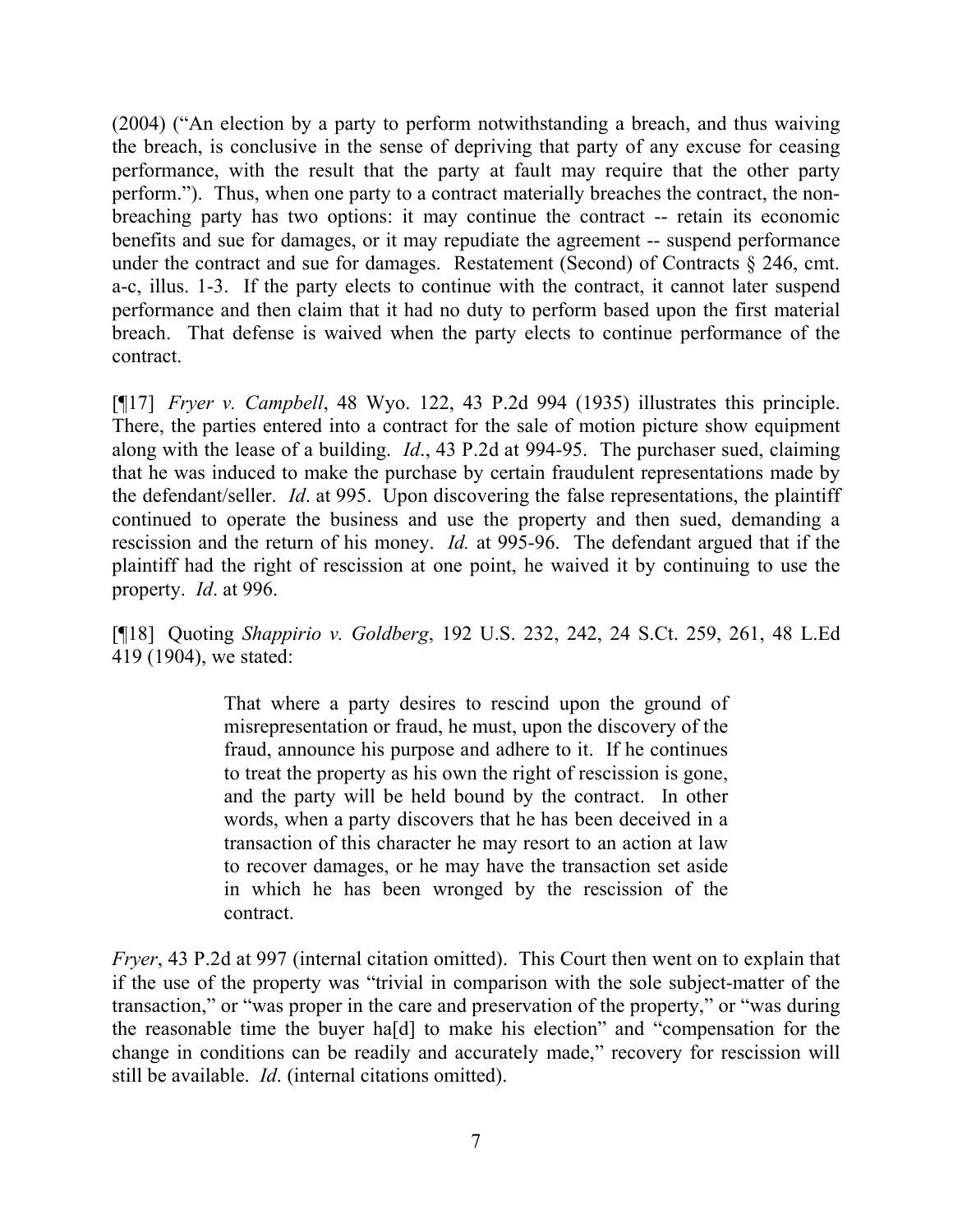(2004) ("An election by a party to perform notwithstanding a breach, and thus waiving the breach, is conclusive in the sense of depriving that party of any excuse for ceasing performance, with the result that the party at fault may require that the other party perform."). Thus, when one party to a contract materially breaches the contract, the nonbreaching party has two options: it may continue the contract -- retain its economic benefits and sue for damages, or it may repudiate the agreement -- suspend performance under the contract and sue for damages. Restatement (Second) of Contracts § 246, cmt. a-c, illus. 1-3. If the party elects to continue with the contract, it cannot later suspend performance and then claim that it had no duty to perform based upon the first material breach. That defense is waived when the party elects to continue performance of the contract.

[¶17] *Fryer v. Campbell*, 48 Wyo. 122, 43 P.2d 994 (1935) illustrates this principle. There, the parties entered into a contract for the sale of motion picture show equipment along with the lease of a building. *Id*., 43 P.2d at 994-95. The purchaser sued, claiming that he was induced to make the purchase by certain fraudulent representations made by the defendant/seller. *Id*. at 995. Upon discovering the false representations, the plaintiff continued to operate the business and use the property and then sued, demanding a rescission and the return of his money. *Id.* at 995-96. The defendant argued that if the plaintiff had the right of rescission at one point, he waived it by continuing to use the property. *Id*. at 996.

[¶18] Quoting *Shappirio v. Goldberg*, 192 U.S. 232, 242, 24 S.Ct. 259, 261, 48 L.Ed 419 (1904), we stated:

> That where a party desires to rescind upon the ground of misrepresentation or fraud, he must, upon the discovery of the fraud, announce his purpose and adhere to it. If he continues to treat the property as his own the right of rescission is gone, and the party will be held bound by the contract. In other words, when a party discovers that he has been deceived in a transaction of this character he may resort to an action at law to recover damages, or he may have the transaction set aside in which he has been wronged by the rescission of the contract.

*Fryer*, 43 P.2d at 997 (internal citation omitted). This Court then went on to explain that if the use of the property was "trivial in comparison with the sole subject-matter of the transaction," or "was proper in the care and preservation of the property," or "was during the reasonable time the buyer ha[d] to make his election" and "compensation for the change in conditions can be readily and accurately made," recovery for rescission will still be available. *Id*. (internal citations omitted).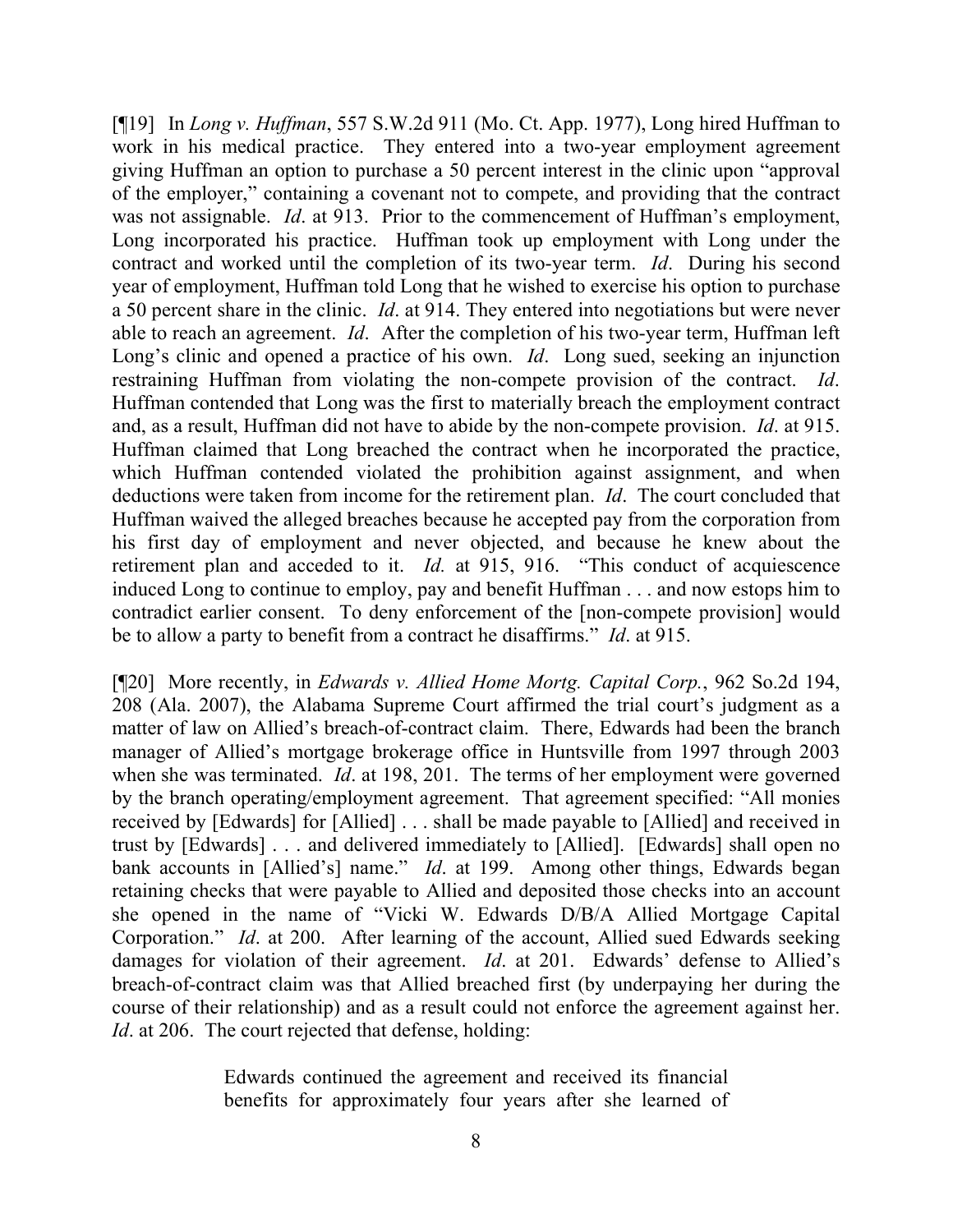[¶19] In *Long v. Huffman*, 557 S.W.2d 911 (Mo. Ct. App. 1977), Long hired Huffman to work in his medical practice. They entered into a two-year employment agreement giving Huffman an option to purchase a 50 percent interest in the clinic upon "approval of the employer," containing a covenant not to compete, and providing that the contract was not assignable. *Id.* at 913. Prior to the commencement of Huffman's employment, Long incorporated his practice. Huffman took up employment with Long under the contract and worked until the completion of its two-year term. *Id*. During his second year of employment, Huffman told Long that he wished to exercise his option to purchase a 50 percent share in the clinic. *Id*. at 914. They entered into negotiations but were never able to reach an agreement. *Id*. After the completion of his two-year term, Huffman left Long's clinic and opened a practice of his own. *Id*. Long sued, seeking an injunction restraining Huffman from violating the non-compete provision of the contract. *Id*. Huffman contended that Long was the first to materially breach the employment contract and, as a result, Huffman did not have to abide by the non-compete provision. *Id*. at 915. Huffman claimed that Long breached the contract when he incorporated the practice, which Huffman contended violated the prohibition against assignment, and when deductions were taken from income for the retirement plan. *Id*. The court concluded that Huffman waived the alleged breaches because he accepted pay from the corporation from his first day of employment and never objected, and because he knew about the retirement plan and acceded to it. *Id.* at 915, 916. "This conduct of acquiescence induced Long to continue to employ, pay and benefit Huffman . . . and now estops him to contradict earlier consent. To deny enforcement of the [non-compete provision] would be to allow a party to benefit from a contract he disaffirms." *Id*. at 915.

[¶20] More recently, in *Edwards v. Allied Home Mortg. Capital Corp.*, 962 So.2d 194, 208 (Ala. 2007), the Alabama Supreme Court affirmed the trial court's judgment as a matter of law on Allied's breach-of-contract claim. There, Edwards had been the branch manager of Allied's mortgage brokerage office in Huntsville from 1997 through 2003 when she was terminated. *Id*. at 198, 201. The terms of her employment were governed by the branch operating/employment agreement. That agreement specified: "All monies received by [Edwards] for [Allied] . . . shall be made payable to [Allied] and received in trust by [Edwards] . . . and delivered immediately to [Allied]. [Edwards] shall open no bank accounts in [Allied's] name." *Id*. at 199. Among other things, Edwards began retaining checks that were payable to Allied and deposited those checks into an account she opened in the name of "Vicki W. Edwards D/B/A Allied Mortgage Capital Corporation." *Id*. at 200. After learning of the account, Allied sued Edwards seeking damages for violation of their agreement. *Id*. at 201. Edwards' defense to Allied's breach-of-contract claim was that Allied breached first (by underpaying her during the course of their relationship) and as a result could not enforce the agreement against her. *Id.* at 206. The court rejected that defense, holding:

> Edwards continued the agreement and received its financial benefits for approximately four years after she learned of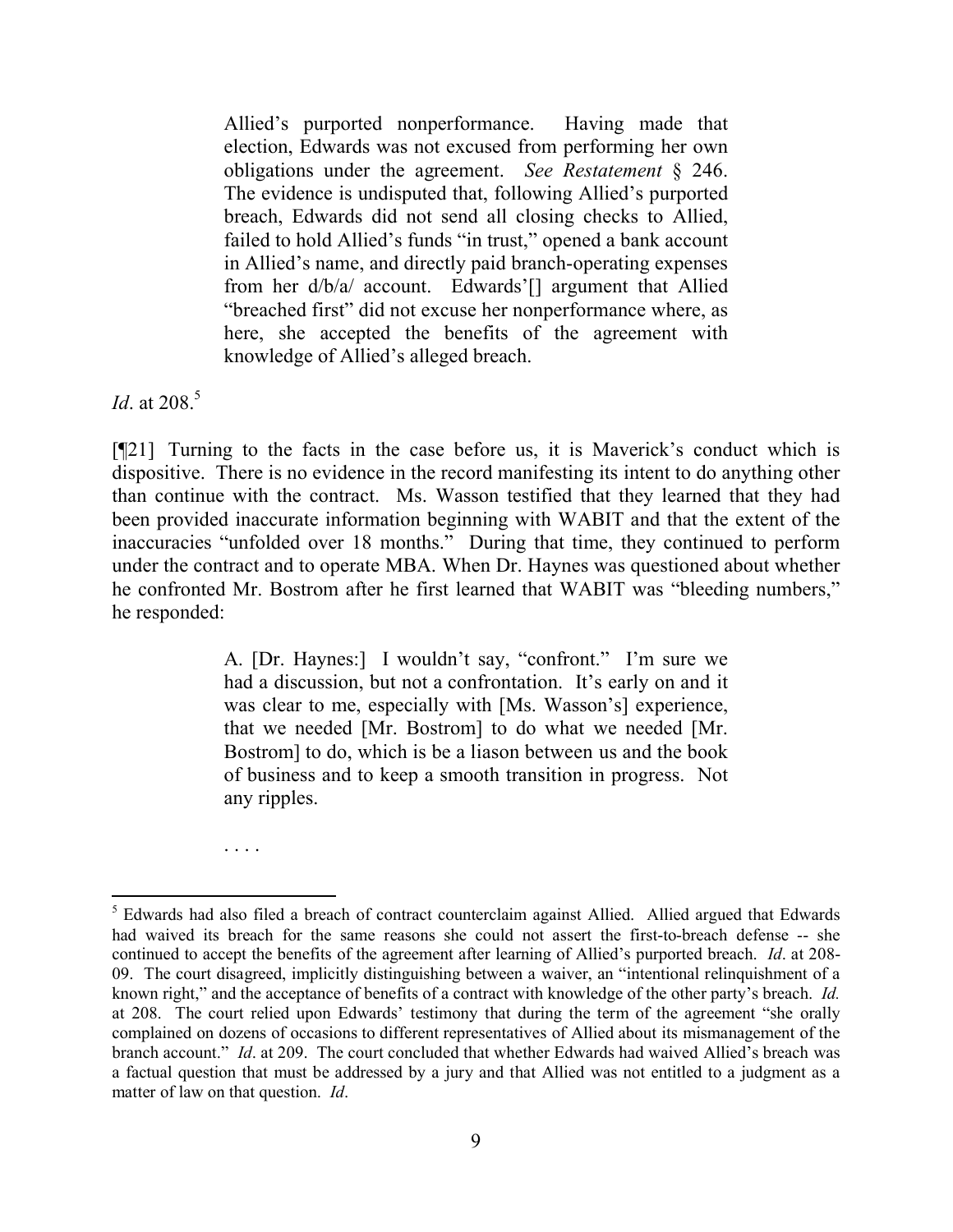Allied's purported nonperformance. Having made that election, Edwards was not excused from performing her own obligations under the agreement. *See Restatement* § 246. The evidence is undisputed that, following Allied's purported breach, Edwards did not send all closing checks to Allied, failed to hold Allied's funds "in trust," opened a bank account in Allied's name, and directly paid branch-operating expenses from her d/b/a/ account. Edwards'[] argument that Allied "breached first" did not excuse her nonperformance where, as here, she accepted the benefits of the agreement with knowledge of Allied's alleged breach.

*Id.* at 208.<sup>5</sup>

[¶21] Turning to the facts in the case before us, it is Maverick's conduct which is dispositive. There is no evidence in the record manifesting its intent to do anything other than continue with the contract. Ms. Wasson testified that they learned that they had been provided inaccurate information beginning with WABIT and that the extent of the inaccuracies "unfolded over 18 months." During that time, they continued to perform under the contract and to operate MBA. When Dr. Haynes was questioned about whether he confronted Mr. Bostrom after he first learned that WABIT was "bleeding numbers," he responded:

> A. [Dr. Haynes:] I wouldn't say, "confront." I'm sure we had a discussion, but not a confrontation. It's early on and it was clear to me, especially with [Ms. Wasson's] experience, that we needed [Mr. Bostrom] to do what we needed [Mr. Bostrom] to do, which is be a liason between us and the book of business and to keep a smooth transition in progress. Not any ripples.

. . . .

<sup>&</sup>lt;sup>5</sup> Edwards had also filed a breach of contract counterclaim against Allied. Allied argued that Edwards had waived its breach for the same reasons she could not assert the first-to-breach defense -- she continued to accept the benefits of the agreement after learning of Allied's purported breach. *Id*. at 208- 09. The court disagreed, implicitly distinguishing between a waiver, an "intentional relinquishment of a known right," and the acceptance of benefits of a contract with knowledge of the other party's breach. *Id.* at 208. The court relied upon Edwards' testimony that during the term of the agreement "she orally complained on dozens of occasions to different representatives of Allied about its mismanagement of the branch account." *Id*. at 209. The court concluded that whether Edwards had waived Allied's breach was a factual question that must be addressed by a jury and that Allied was not entitled to a judgment as a matter of law on that question. *Id*.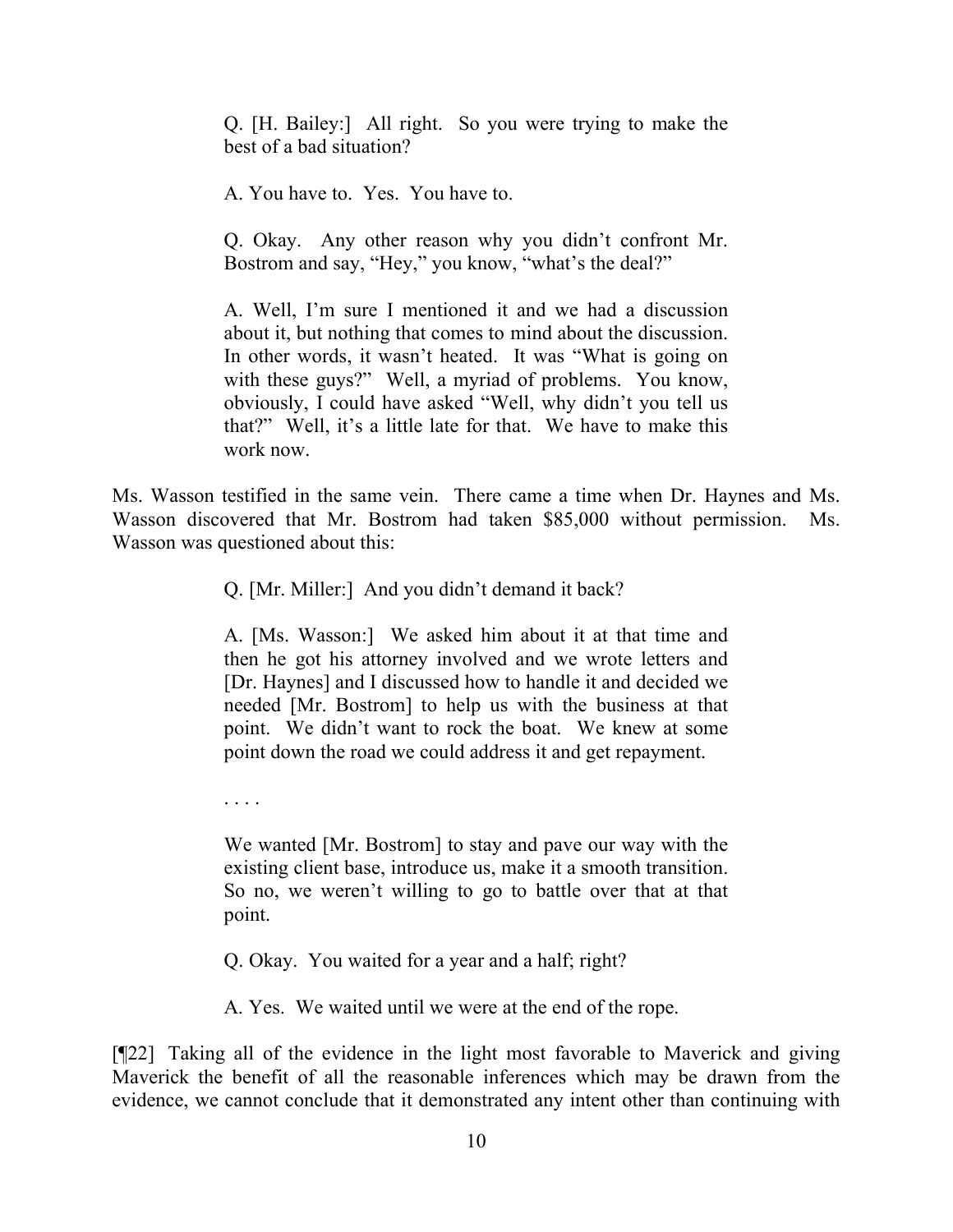Q. [H. Bailey:] All right. So you were trying to make the best of a bad situation?

A. You have to. Yes. You have to.

Q. Okay. Any other reason why you didn't confront Mr. Bostrom and say, "Hey," you know, "what's the deal?"

A. Well, I'm sure I mentioned it and we had a discussion about it, but nothing that comes to mind about the discussion. In other words, it wasn't heated. It was "What is going on with these guys?" Well, a myriad of problems. You know, obviously, I could have asked "Well, why didn't you tell us that?" Well, it's a little late for that. We have to make this work now.

Ms. Wasson testified in the same vein. There came a time when Dr. Haynes and Ms. Wasson discovered that Mr. Bostrom had taken \$85,000 without permission. Ms. Wasson was questioned about this:

Q. [Mr. Miller:] And you didn't demand it back?

A. [Ms. Wasson:] We asked him about it at that time and then he got his attorney involved and we wrote letters and [Dr. Haynes] and I discussed how to handle it and decided we needed [Mr. Bostrom] to help us with the business at that point. We didn't want to rock the boat. We knew at some point down the road we could address it and get repayment.

. . . .

We wanted [Mr. Bostrom] to stay and pave our way with the existing client base, introduce us, make it a smooth transition. So no, we weren't willing to go to battle over that at that point.

Q. Okay. You waited for a year and a half; right?

A. Yes. We waited until we were at the end of the rope.

[¶22] Taking all of the evidence in the light most favorable to Maverick and giving Maverick the benefit of all the reasonable inferences which may be drawn from the evidence, we cannot conclude that it demonstrated any intent other than continuing with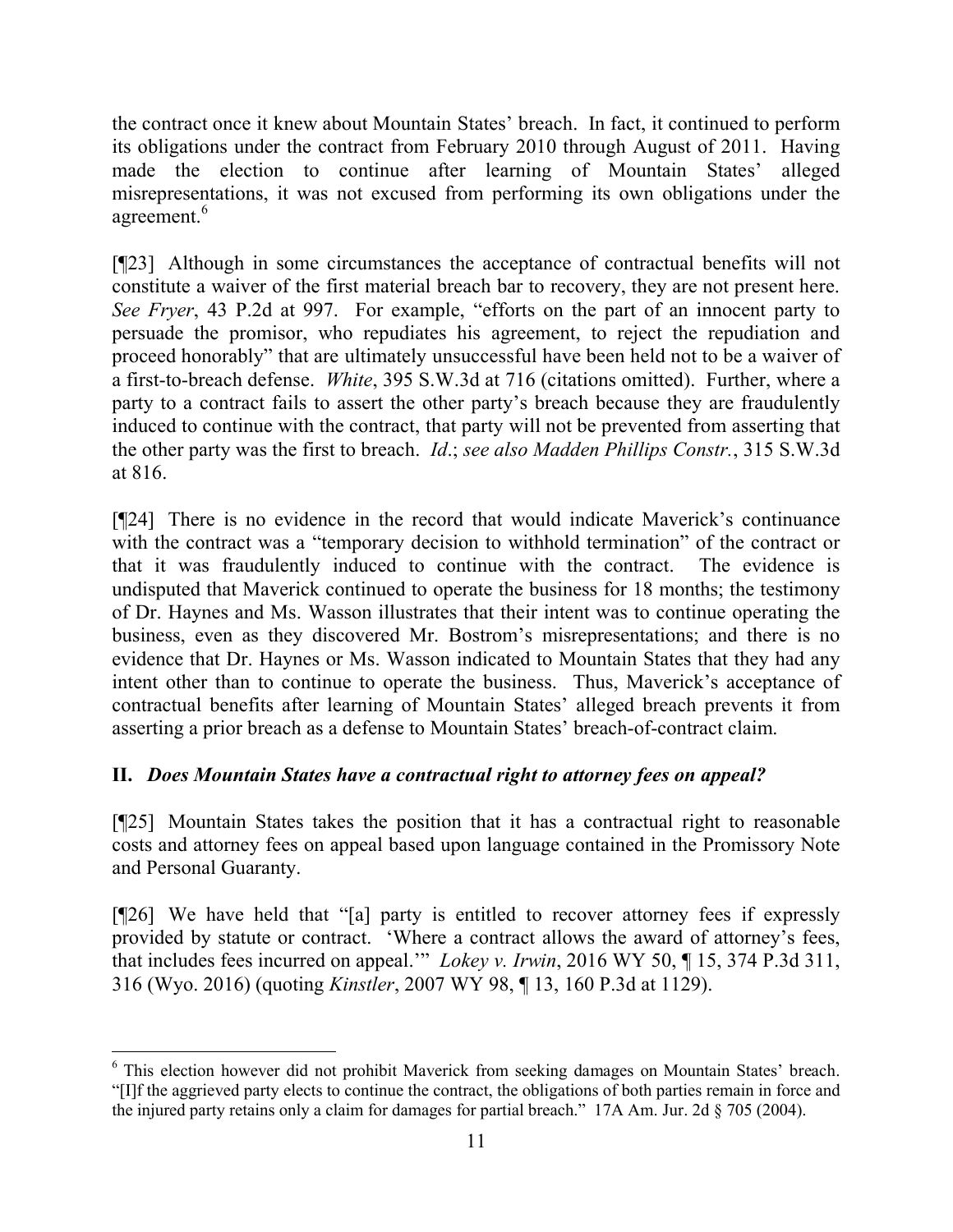the contract once it knew about Mountain States' breach. In fact, it continued to perform its obligations under the contract from February 2010 through August of 2011. Having made the election to continue after learning of Mountain States' alleged misrepresentations, it was not excused from performing its own obligations under the agreement.<sup>6</sup>

[¶23] Although in some circumstances the acceptance of contractual benefits will not constitute a waiver of the first material breach bar to recovery, they are not present here. *See Fryer*, 43 P.2d at 997. For example, "efforts on the part of an innocent party to persuade the promisor, who repudiates his agreement, to reject the repudiation and proceed honorably" that are ultimately unsuccessful have been held not to be a waiver of a first-to-breach defense. *White*, 395 S.W.3d at 716 (citations omitted). Further, where a party to a contract fails to assert the other party's breach because they are fraudulently induced to continue with the contract, that party will not be prevented from asserting that the other party was the first to breach. *Id*.; *see also Madden Phillips Constr.*, 315 S.W.3d at 816.

[¶24] There is no evidence in the record that would indicate Maverick's continuance with the contract was a "temporary decision to withhold termination" of the contract or that it was fraudulently induced to continue with the contract. The evidence is undisputed that Maverick continued to operate the business for 18 months; the testimony of Dr. Haynes and Ms. Wasson illustrates that their intent was to continue operating the business, even as they discovered Mr. Bostrom's misrepresentations; and there is no evidence that Dr. Haynes or Ms. Wasson indicated to Mountain States that they had any intent other than to continue to operate the business. Thus, Maverick's acceptance of contractual benefits after learning of Mountain States' alleged breach prevents it from asserting a prior breach as a defense to Mountain States' breach-of-contract claim.

# **II.** *Does Mountain States have a contractual right to attorney fees on appeal?*

[¶25] Mountain States takes the position that it has a contractual right to reasonable costs and attorney fees on appeal based upon language contained in the Promissory Note and Personal Guaranty.

[¶26] We have held that "[a] party is entitled to recover attorney fees if expressly provided by statute or contract. 'Where a contract allows the award of attorney's fees, that includes fees incurred on appeal.'" *Lokey v. Irwin*, 2016 WY 50, ¶ 15, 374 P.3d 311, 316 (Wyo. 2016) (quoting *Kinstler*, 2007 WY 98, ¶ 13, 160 P.3d at 1129).

<sup>&</sup>lt;sup>6</sup> This election however did not prohibit Maverick from seeking damages on Mountain States' breach. "[I]f the aggrieved party elects to continue the contract, the obligations of both parties remain in force and the injured party retains only a claim for damages for partial breach." 17A Am. Jur. 2d § 705 (2004).